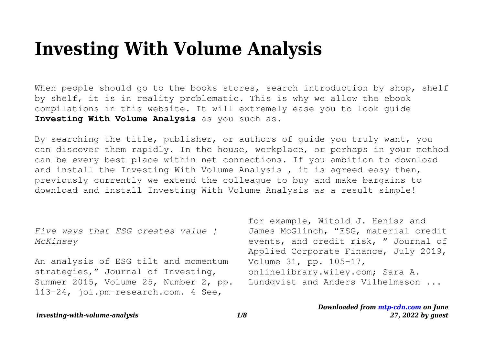# **Investing With Volume Analysis**

When people should go to the books stores, search introduction by shop, shelf by shelf, it is in reality problematic. This is why we allow the ebook compilations in this website. It will extremely ease you to look guide **Investing With Volume Analysis** as you such as.

By searching the title, publisher, or authors of guide you truly want, you can discover them rapidly. In the house, workplace, or perhaps in your method can be every best place within net connections. If you ambition to download and install the Investing With Volume Analysis , it is agreed easy then, previously currently we extend the colleague to buy and make bargains to download and install Investing With Volume Analysis as a result simple!

*Five ways that ESG creates value | McKinsey*

An analysis of ESG tilt and momentum strategies," Journal of Investing, Summer 2015, Volume 25, Number 2, pp. 113–24, joi.pm-research.com. 4 See,

for example, Witold J. Henisz and James McGlinch, "ESG, material credit events, and credit risk, " Journal of Applied Corporate Finance, July 2019, Volume 31, pp. 105–17, onlinelibrary.wiley.com; Sara A. Lundqvist and Anders Vilhelmsson ...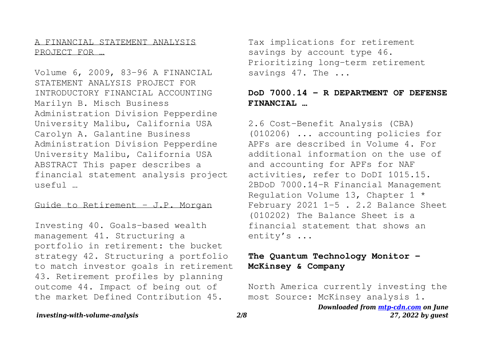A FINANCIAL STATEMENT ANALYSIS PROJECT FOR …

Volume 6, 2009, 83-96 A FINANCIAL STATEMENT ANALYSIS PROJECT FOR INTRODUCTORY FINANCIAL ACCOUNTING Marilyn B. Misch Business Administration Division Pepperdine University Malibu, California USA Carolyn A. Galantine Business Administration Division Pepperdine University Malibu, California USA ABSTRACT This paper describes a financial statement analysis project useful …

Guide to Retirement - J.P. Morgan

Investing 40. Goals-based wealth management 41. Structuring a portfolio in retirement: the bucket strategy 42. Structuring a portfolio to match investor goals in retirement 43. Retirement profiles by planning outcome 44. Impact of being out of the market Defined Contribution 45.

Tax implications for retirement savings by account type 46. Prioritizing long-term retirement savings 47. The ...

# **DoD 7000.14 - R DEPARTMENT OF DEFENSE FINANCIAL …**

2.6 Cost-Benefit Analysis (CBA) (010206) ... accounting policies for APFs are described in Volume 4. For additional information on the use of and accounting for APFs for NAF activities, refer to DoDI 1015.15. 2BDoD 7000.14-R Financial Management Regulation Volume 13, Chapter 1 \* February 2021 1-5 . 2.2 Balance Sheet (010202) The Balance Sheet is a financial statement that shows an entity's ...

# **The Quantum Technology Monitor - McKinsey & Company**

North America currently investing the most Source: McKinsey analysis 1.

> *Downloaded from [mtp-cdn.com](https://mtp-cdn.com) on June 27, 2022 by guest*

*investing-with-volume-analysis 2/8*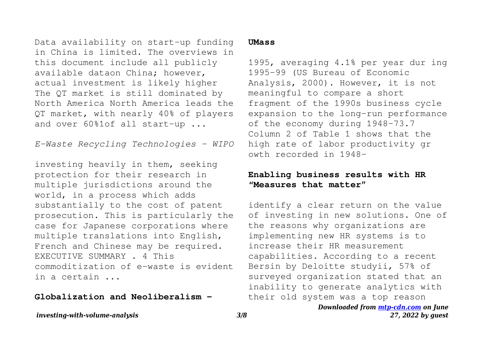Data availability on start-up funding in China is limited. The overviews in this document include all publicly available dataon China; however, actual investment is likely higher The QT market is still dominated by North America North America leads the QT market, with nearly 40% of players and over 60%1of all start-up ...

*E-Waste Recycling Technologies - WIPO*

investing heavily in them, seeking protection for their research in multiple jurisdictions around the world, in a process which adds substantially to the cost of patent prosecution. This is particularly the case for Japanese corporations where multiple translations into English, French and Chinese may be required. EXECUTIVE SUMMARY . 4 This commoditization of e-waste is evident in a certain ...

#### **Globalization and Neoliberalism -**

#### **UMass**

1995, averaging 4.1% per year dur ing 1995-99 (US Bureau of Economic Analysis, 2000). However, it is not meaningful to compare a short fragment of the 1990s business cycle expansion to the long-run performance of the economy during 1948-73.7 Column 2 of Table 1 shows that the high rate of labor productivity gr owth recorded in 1948-

## **Enabling business results with HR "Measures that matter"**

identify a clear return on the value of investing in new solutions. One of the reasons why organizations are implementing new HR systems is to increase their HR measurement capabilities. According to a recent Bersin by Deloitte studyii, 57% of surveyed organization stated that an inability to generate analytics with their old system was a top reason

#### *Downloaded from [mtp-cdn.com](https://mtp-cdn.com) on June 27, 2022 by guest*

*investing-with-volume-analysis 3/8*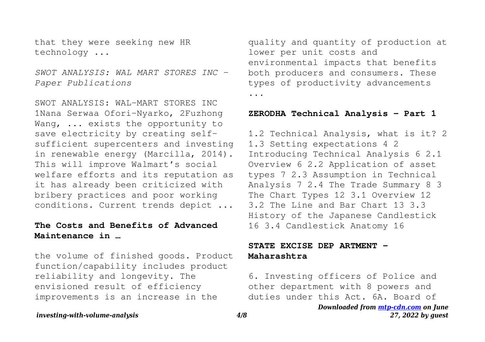that they were seeking new HR technology ...

*SWOT ANALYSIS: WAL MART STORES INC - Paper Publications*

SWOT ANALYSIS: WAL-MART STORES INC 1Nana Serwaa Ofori-Nyarko, 2Fuzhong Wang, ... exists the opportunity to save electricity by creating selfsufficient supercenters and investing in renewable energy (Marcilla, 2014). This will improve Walmart's social welfare efforts and its reputation as it has already been criticized with bribery practices and poor working conditions. Current trends depict ...

## **The Costs and Benefits of Advanced Maintenance in …**

the volume of finished goods. Product function/capability includes product reliability and longevity. The envisioned result of efficiency improvements is an increase in the

quality and quantity of production at lower per unit costs and environmental impacts that benefits both producers and consumers. These types of productivity advancements ...

#### **ZERODHA Technical Analysis - Part 1**

1.2 Technical Analysis, what is it? 2 1.3 Setting expectations 4 2 Introducing Technical Analysis 6 2.1 Overview 6 2.2 Application of asset types 7 2.3 Assumption in Technical Analysis 7 2.4 The Trade Summary 8 3 The Chart Types 12 3.1 Overview 12 3.2 The Line and Bar Chart 13 3.3 History of the Japanese Candlestick 16 3.4 Candlestick Anatomy 16

## **STATE EXCISE DEP ARTMENT - Maharashtra**

6. Investing officers of Police and other department with 8 powers and duties under this Act. 6A. Board of

> *Downloaded from [mtp-cdn.com](https://mtp-cdn.com) on June 27, 2022 by guest*

*investing-with-volume-analysis 4/8*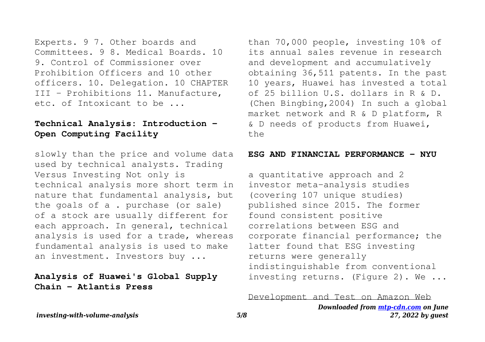Experts. 9 7. Other boards and Committees. 9 8. Medical Boards. 10 9. Control of Commissioner over Prohibition Officers and 10 other officers. 10. Delegation. 10 CHAPTER III - Prohibitions 11. Manufacture, etc. of Intoxicant to be ...

## **Technical Analysis: Introduction - Open Computing Facility**

slowly than the price and volume data used by technical analysts. Trading Versus Investing Not only is technical analysis more short term in nature that fundamental analysis, but the goals of a . purchase (or sale) of a stock are usually different for each approach. In general, technical analysis is used for a trade, whereas fundamental analysis is used to make an investment. Investors buy ...

# **Analysis of Huawei's Global Supply Chain - Atlantis Press**

than 70,000 people, investing 10% of its annual sales revenue in research and development and accumulatively obtaining 36,511 patents. In the past 10 years, Huawei has invested a total of 25 billion U.S. dollars in R & D. (Chen Bingbing,2004) In such a global market network and R & D platform, R & D needs of products from Huawei, the

#### ESG AND FINANCIAL PERFORMANCE - NYU

a quantitative approach and 2 investor meta-analysis studies (covering 107 unique studies) published since 2015. The former found consistent positive correlations between ESG and corporate financial performance; the latter found that ESG investing returns were generally indistinguishable from conventional investing returns. (Figure 2). We ...

Development and Test on Amazon Web

*Downloaded from [mtp-cdn.com](https://mtp-cdn.com) on June 27, 2022 by guest*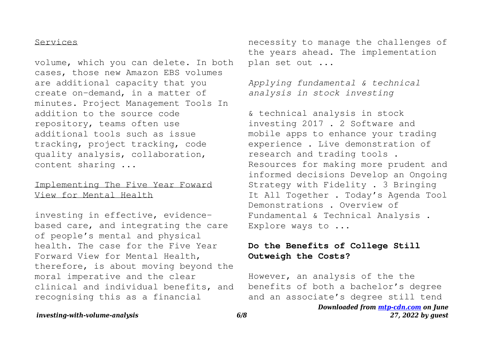#### Services

volume, which you can delete. In both cases, those new Amazon EBS volumes are additional capacity that you create on-demand, in a matter of minutes. Project Management Tools In addition to the source code repository, teams often use additional tools such as issue tracking, project tracking, code quality analysis, collaboration, content sharing ...

### Implementing The Five Year Foward View for Mental Health

investing in effective, evidencebased care, and integrating the care of people's mental and physical health. The case for the Five Year Forward View for Mental Health, therefore, is about moving beyond the moral imperative and the clear clinical and individual benefits, and recognising this as a financial

necessity to manage the challenges of the years ahead. The implementation plan set out ...

*Applying fundamental & technical analysis in stock investing*

& technical analysis in stock investing 2017 . 2 Software and mobile apps to enhance your trading experience . Live demonstration of research and trading tools . Resources for making more prudent and informed decisions Develop an Ongoing Strategy with Fidelity . 3 Bringing It All Together . Today's Agenda Tool Demonstrations . Overview of Fundamental & Technical Analysis . Explore ways to ...

## **Do the Benefits of College Still Outweigh the Costs?**

However, an analysis of the the benefits of both a bachelor's degree and an associate's degree still tend

```
Downloaded from mtp-cdn.com on June
       27, 2022 by guest
```
*investing-with-volume-analysis 6/8*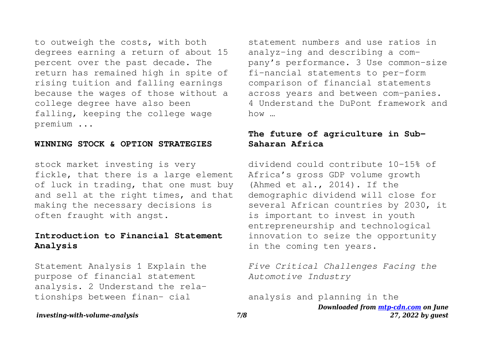to outweigh the costs, with both degrees earning a return of about 15 percent over the past decade. The return has remained high in spite of rising tuition and falling earnings because the wages of those without a college degree have also been falling, keeping the college wage premium ...

#### **WINNING STOCK & OPTION STRATEGIES**

stock market investing is very fickle, that there is a large element of luck in trading, that one must buy and sell at the right times, and that making the necessary decisions is often fraught with angst.

# **Introduction to Financial Statement Analysis**

Statement Analysis 1 Explain the purpose of financial statement analysis. 2 Understand the relationships between finan- cial

statement numbers and use ratios in analyz-ing and describing a company's performance. 3 Use common-size fi-nancial statements to per-form comparison of financial statements across years and between com-panies. 4 Understand the DuPont framework and  $h \cap w$ 

## **The future of agriculture in Sub-Saharan Africa**

dividend could contribute 10-15% of Africa's gross GDP volume growth (Ahmed et al., 2014). If the demographic dividend will close for several African countries by 2030, it is important to invest in youth entrepreneurship and technological innovation to seize the opportunity in the coming ten years.

*Five Critical Challenges Facing the Automotive Industry*

*Downloaded from [mtp-cdn.com](https://mtp-cdn.com) on June 27, 2022 by guest* analysis and planning in the

*investing-with-volume-analysis 7/8*